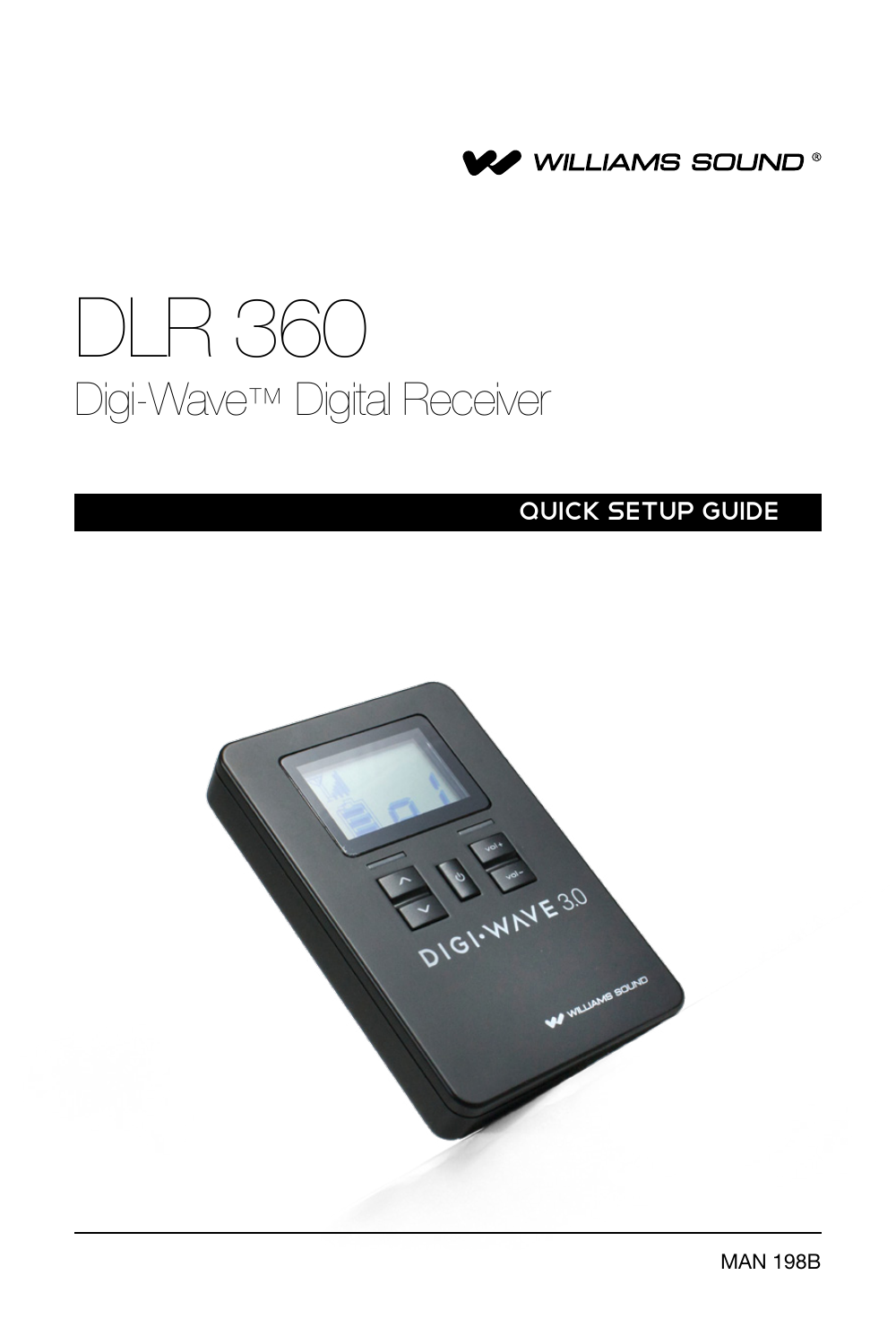

# DLR 360 Digi-Wave™ Digital Receiver

#### QUICK SETUP GUIDE

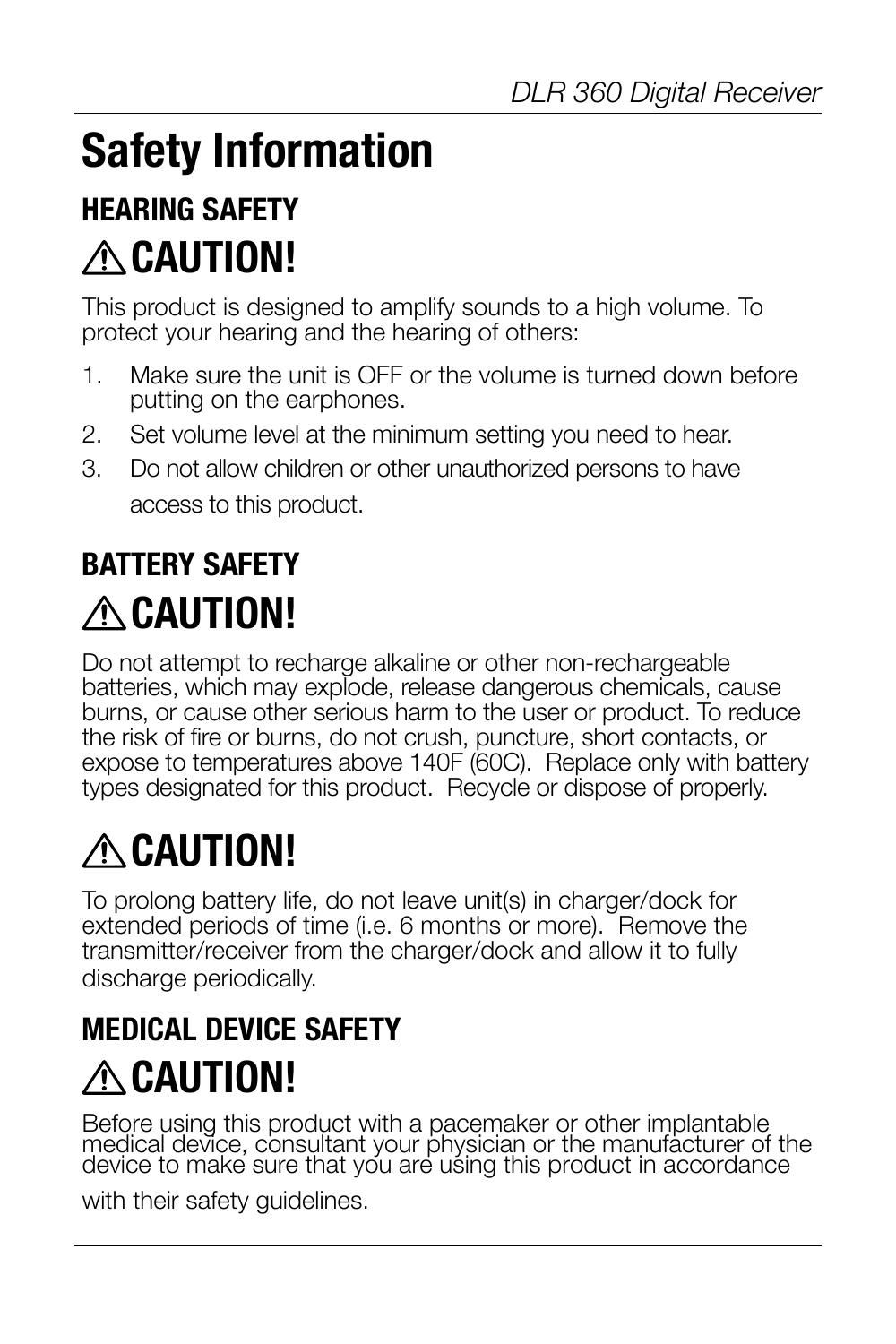# **Safety Information Hearing Safety CAUTION!**

This product is designed to amplify sounds to a high volume. To protect your hearing and the hearing of others:

- 1. Make sure the unit is OFF or the volume is turned down before putting on the earphones.
- 2. Set volume level at the minimum setting you need to hear.
- 3. Do not allow children or other unauthorized persons to have access to this product.

### **Battery Safety** A CAUTION!

Do not attempt to recharge alkaline or other non-rechargeable batteries, which may explode, release dangerous chemicals, cause burns, or cause other serious harm to the user or product. To reduce the risk of fire or burns, do not crush, puncture, short contacts, or expose to temperatures above 140F (60C). Replace only with battery types designated for this product. Recycle or dispose of properly.

## **CAUTION!**

To prolong battery life, do not leave unit(s) in charger/dock for extended periods of time (i.e. 6 months or more). Remove the transmitter/receiver from the charger/dock and allow it to fully discharge periodically.

### **Medical Device Safety CAUTION!**

Before using this product with a pacemaker or other implantable medical device, consultant your physician or the manufacturer of the device to make sure that you are using this product in accordance

with their safety guidelines.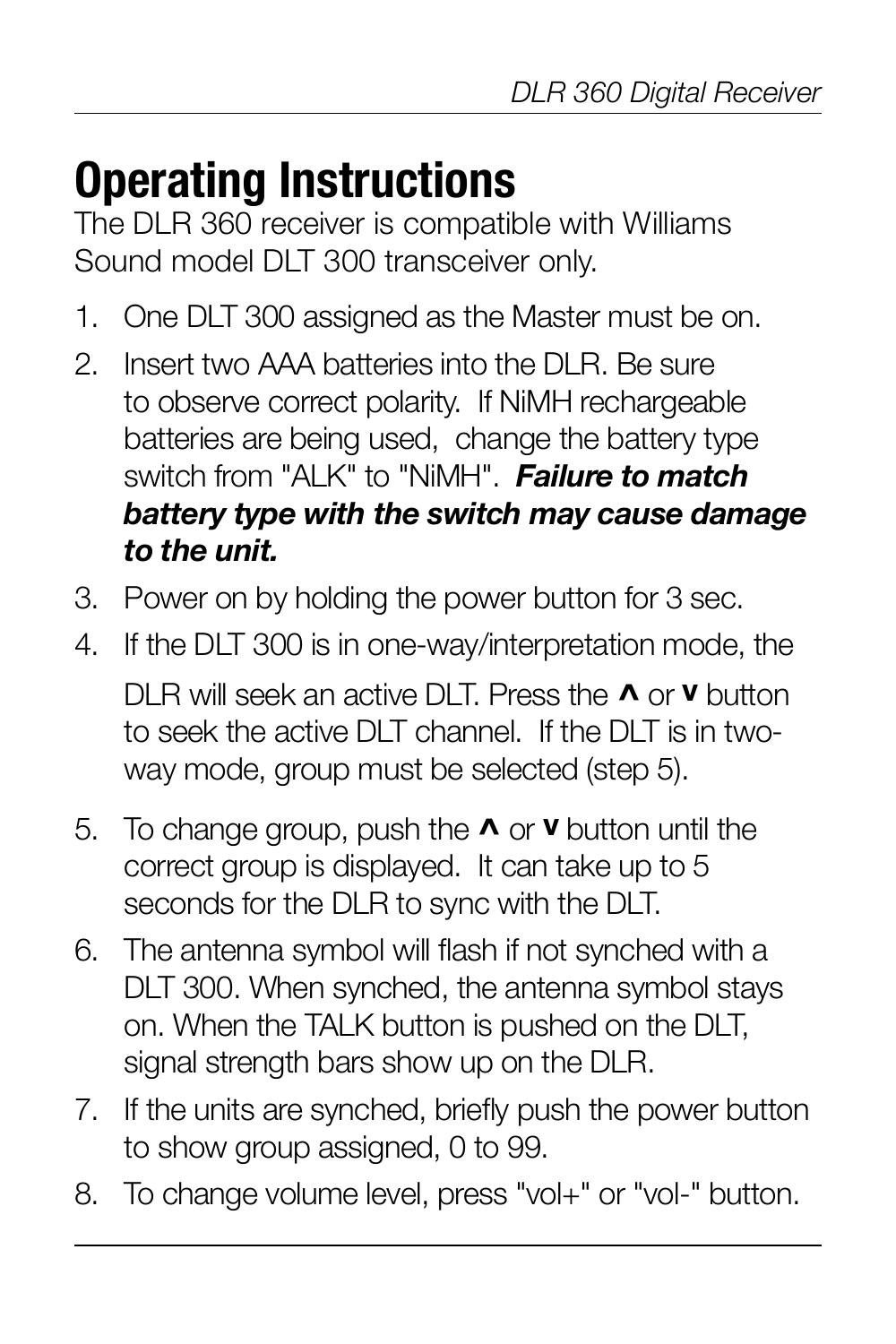# **Operating Instructions**

The DLR 360 receiver is compatible with Williams Sound model DLT 300 transceiver only.

- 1. One DLT 300 assigned as the Master must be on.
- 2. Insert two AAA batteries into the DLR. Be sure to observe correct polarity. If NiMH rechargeable batteries are being used, change the battery type switch from "ALK" to "NiMH". *Failure to match battery type with the switch may cause damage to the unit.*
- 3. Power on by holding the power button for 3 sec.
- 4. If the DLT 300 is in one-way/interpretation mode, the DLR will seek an active DLT. Press the **^** or **v** button to seek the active DLT channel. If the DLT is in twoway mode, group must be selected (step 5).
- 5. To change group, push the **^** or **v** button until the correct group is displayed. It can take up to 5 seconds for the DLR to sync with the DLT.
- 6. The antenna symbol will flash if not synched with a DLT 300. When synched, the antenna symbol stays on. When the TALK button is pushed on the DLT, signal strength bars show up on the DLR.
- 7. If the units are synched, briefly push the power button to show group assigned, 0 to 99.
- 8. To change volume level, press "vol+" or "vol-" button.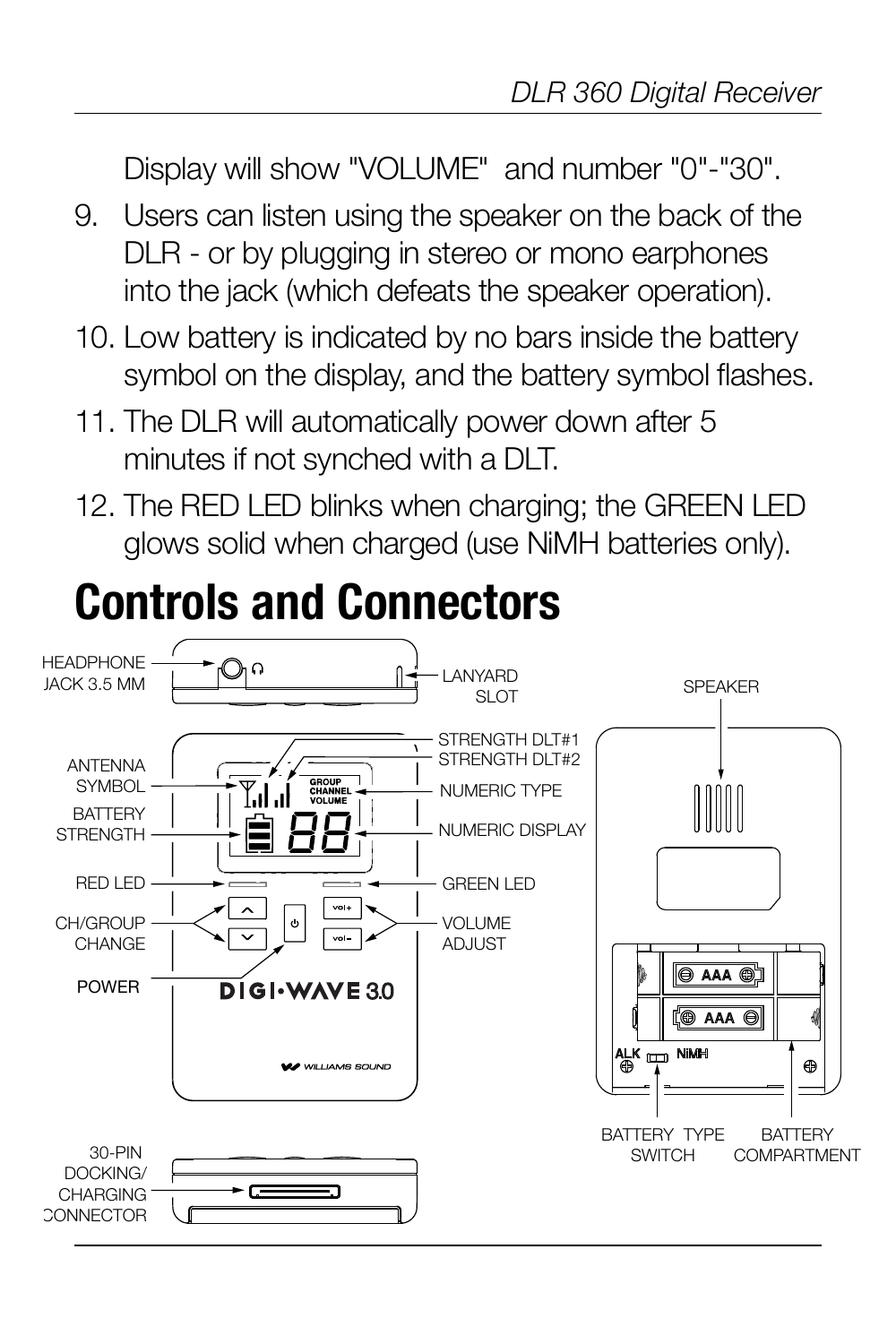Display will show "VOLUME" and number "0"-"30".

- 9. Users can listen using the speaker on the back of the DLR - or by plugging in stereo or mono earphones into the jack (which defeats the speaker operation).
- 10. Low battery is indicated by no bars inside the battery symbol on the display, and the battery symbol flashes.
- 11. The DLR will automatically power down after 5 minutes if not synched with a DLT.
- 12. The RED LED blinks when charging; the GREEN LED glows solid when charged (use NiMH batteries only).

#### **Controls and Connectors** CONNECTOR

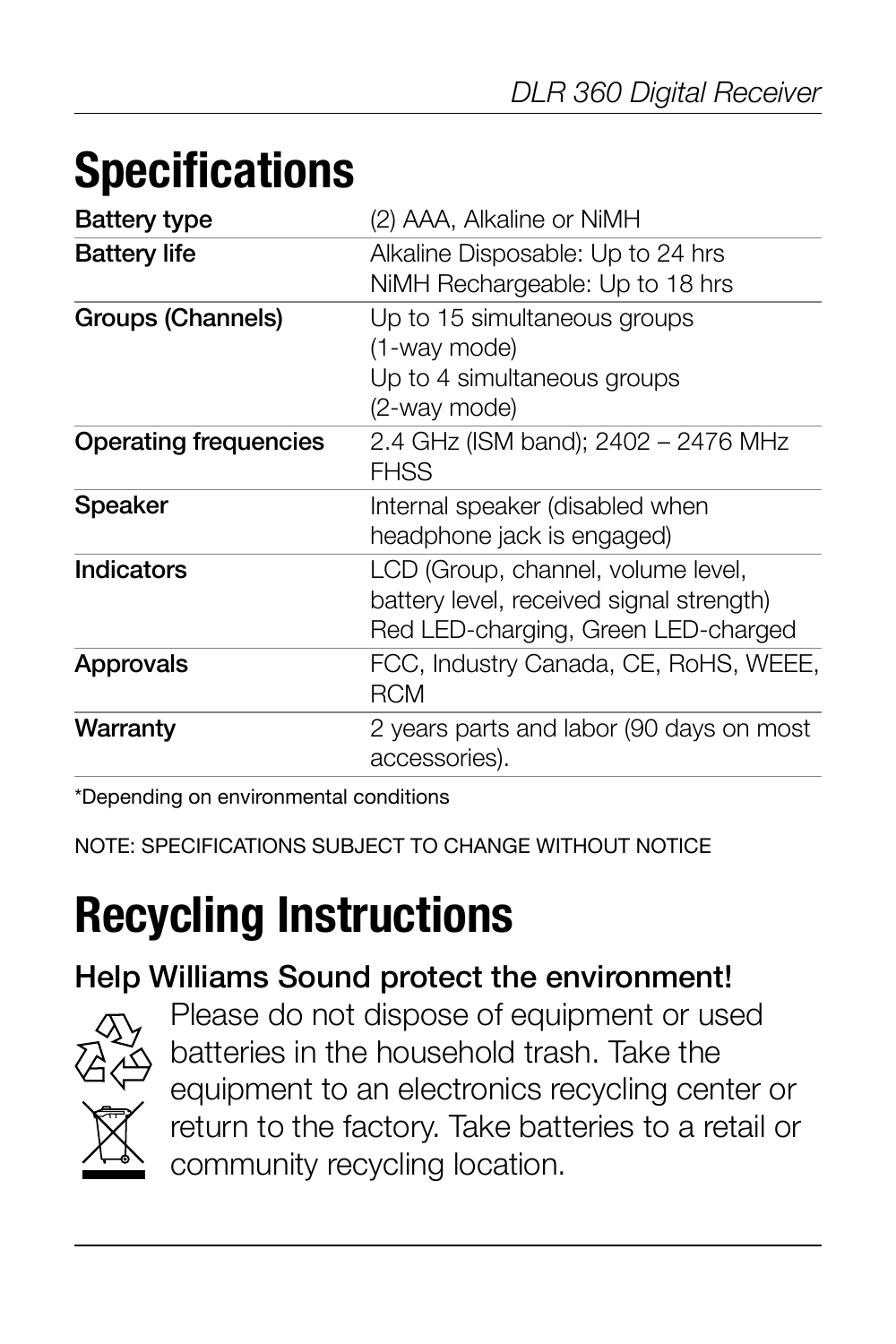# **Specifications**

| Battery type          | (2) AAA, Alkaline or NiMH                                                                                             |
|-----------------------|-----------------------------------------------------------------------------------------------------------------------|
| <b>Battery life</b>   | Alkaline Disposable: Up to 24 hrs<br>NiMH Rechargeable: Up to 18 hrs                                                  |
| Groups (Channels)     | Up to 15 simultaneous groups<br>(1-wav mode)<br>Up to 4 simultaneous groups<br>(2-way mode)                           |
| Operating frequencies | 2.4 GHz (ISM band); 2402 - 2476 MHz<br><b>FHSS</b>                                                                    |
| Speaker               | Internal speaker (disabled when<br>headphone jack is engaged)                                                         |
| Indicators            | LCD (Group, channel, volume level,<br>battery level, received signal strength)<br>Red LED-charging, Green LED-charged |
| Approvals             | FCC, Industry Canada, CE, RoHS, WEEE,<br><b>RCM</b>                                                                   |
| Warranty              | 2 years parts and labor (90 days on most<br>accessories).                                                             |

\*Depending on environmental conditions

NOTE: SPECIFICATIONS SUBJECT TO CHANGE WITHOUT NOTICE

## **Recycling Instructions**

#### Help Williams Sound protect the environment!



Please do not dispose of equipment or used batteries in the household trash. Take the equipment to an electronics recycling center or return to the factory. Take batteries to a retail or community recycling location.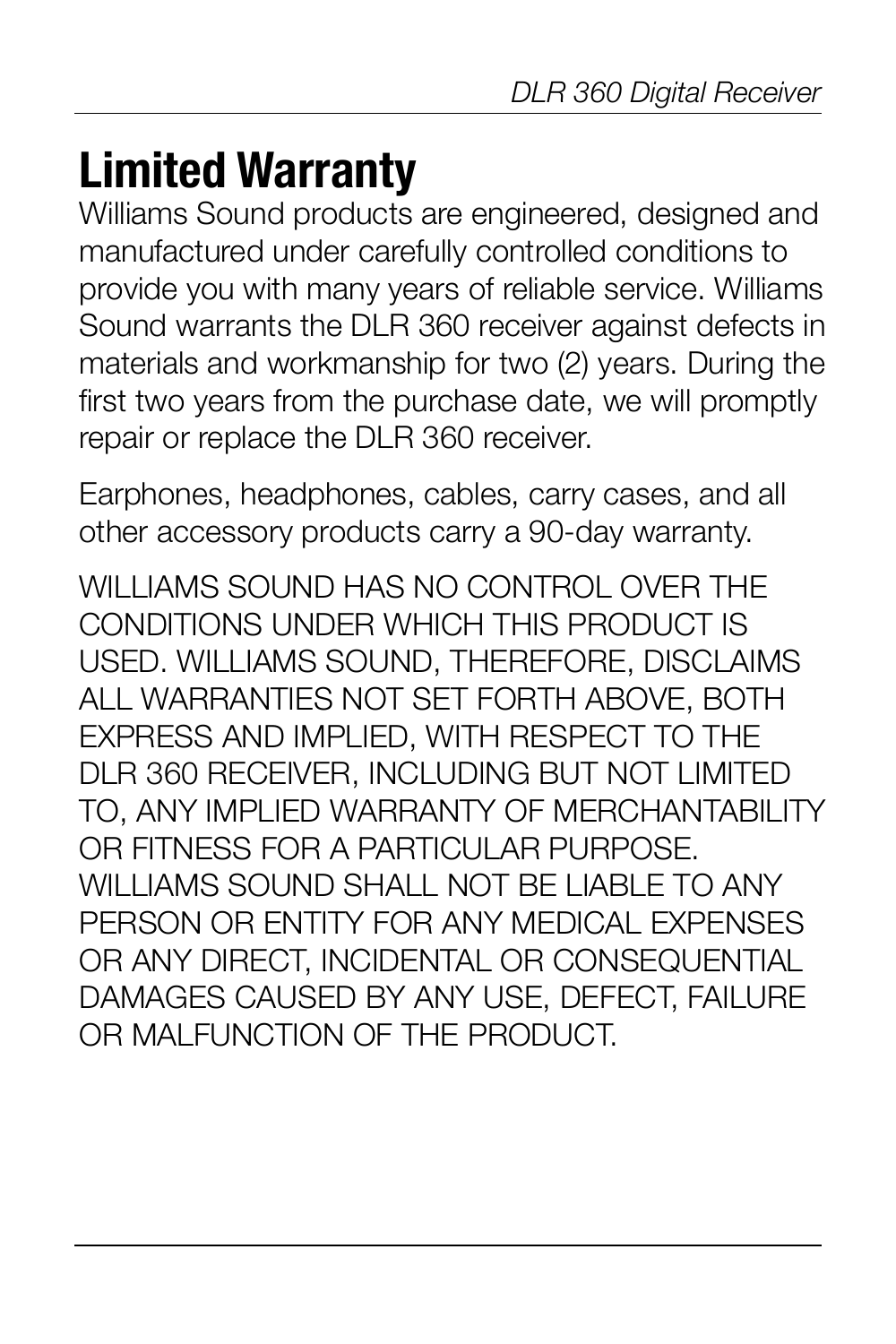# **Limited Warranty**

Williams Sound products are engineered, designed and manufactured under carefully controlled conditions to provide you with many years of reliable service. Williams Sound warrants the DLR 360 receiver against defects in materials and workmanship for two (2) years. During the first two years from the purchase date, we will promptly repair or replace the DLR 360 receiver.

Earphones, headphones, cables, carry cases, and all other accessory products carry a 90-day warranty.

WILLIAMS SOLIND HAS NO CONTROL OVER THE CONDITIONS UNDER WHICH THIS PRODUCT IS USED. WILLIAMS SOUND, THEREFORE, DISCLAIMS ALL WARRANTIES NOT SET FORTH ABOVE, BOTH EXPRESS AND IMPLIED, WITH RESPECT TO THE DLR 360 RECEIVER, INCLUDING BUT NOT LIMITED TO, ANY IMPLIED WARRANTY OF MERCHANTABILITY OR FITNESS FOR A PARTICULAR PURPOSE. WILLIAMS SOUND SHALL NOT BE LIABLE TO ANY PERSON OR ENTITY FOR ANY MEDICAL EXPENSES OR ANY DIRECT, INCIDENTAL OR CONSEQUENTIAL DAMAGES CAUSED BY ANY USE, DEFECT, FAILURE OR MALFUNCTION OF THE PRODUCT.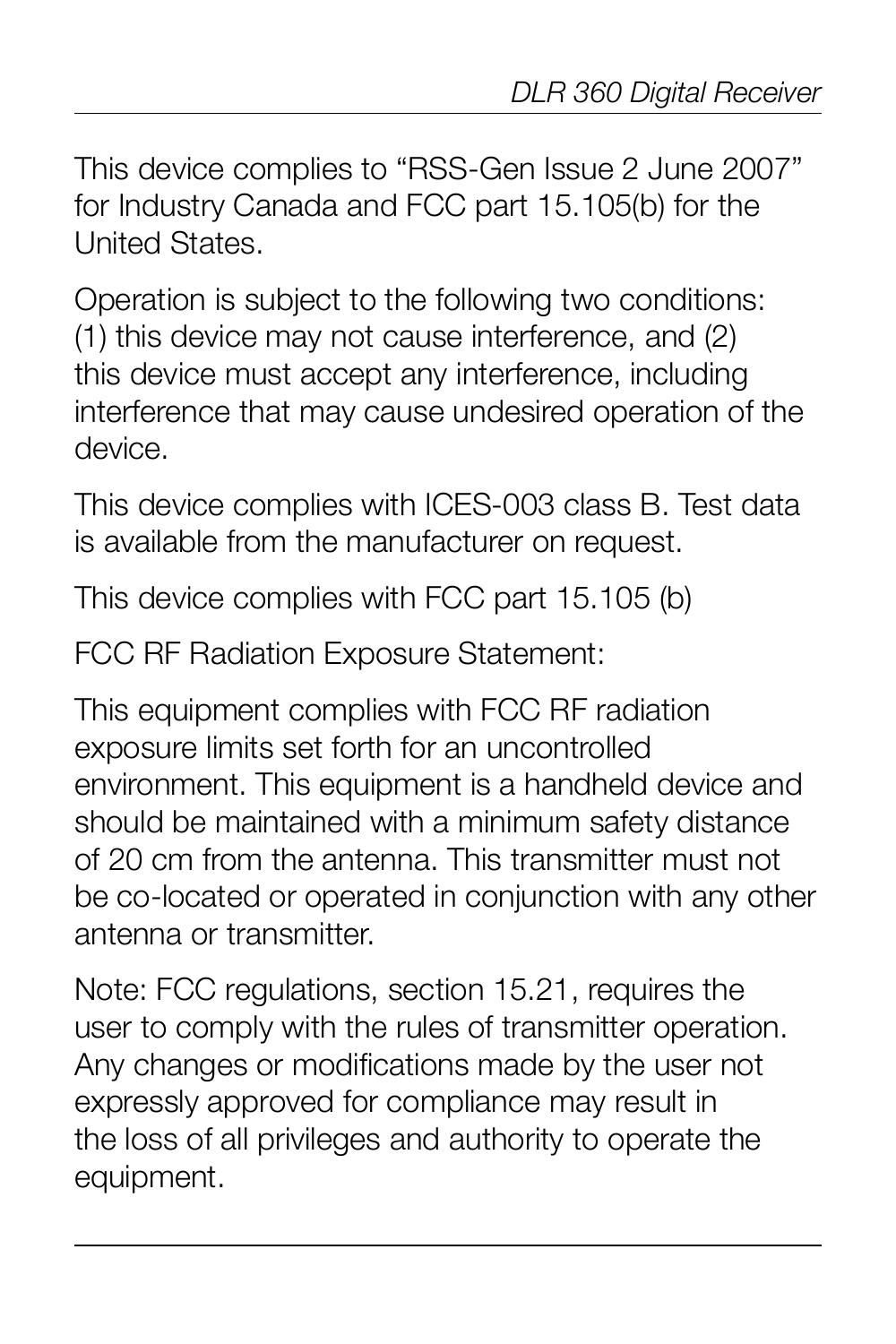This device complies to "RSS-Gen Issue 2 June 2007" for Industry Canada and FCC part 15.105(b) for the United States.

Operation is subject to the following two conditions: (1) this device may not cause interference, and (2) this device must accept any interference, including interference that may cause undesired operation of the device.

This device complies with ICES-003 class B. Test data is available from the manufacturer on request.

This device complies with FCC part 15.105 (b)

FCC RF Radiation Exposure Statement:

This equipment complies with FCC RF radiation exposure limits set forth for an uncontrolled environment. This equipment is a handheld device and should be maintained with a minimum safety distance of 20 cm from the antenna. This transmitter must not be co-located or operated in conjunction with any other antenna or transmitter.

Note: FCC regulations, section 15.21, requires the user to comply with the rules of transmitter operation. Any changes or modifications made by the user not expressly approved for compliance may result in the loss of all privileges and authority to operate the equipment.